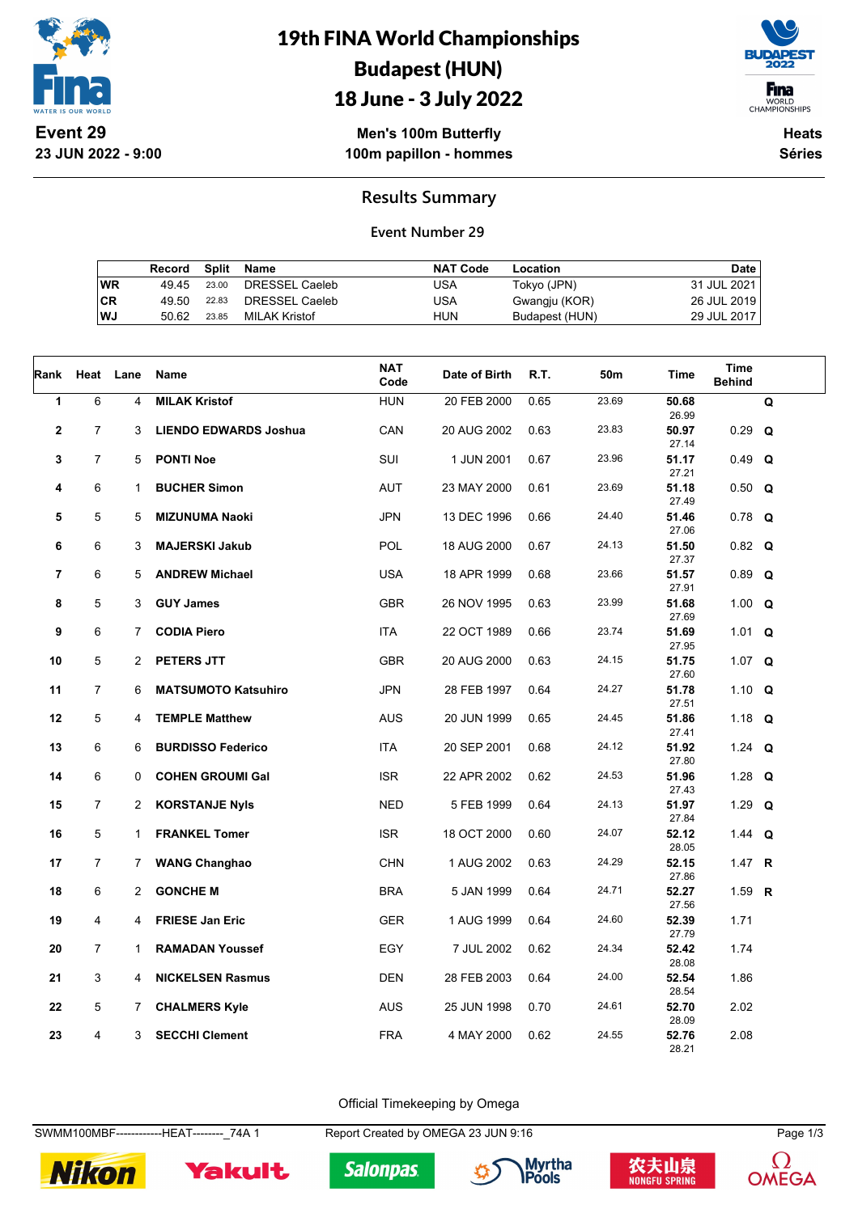

**23 JUN 2022 - 9:00**

## 19th FINA World Championships Budapest (HUN) 18 June - 3 July 2022



WORLD<br>CHAMPIONSHIPS

**Men's 100m Butterfly 100m papillon - hommes**

**Heats Séries**

### **Results Summary**

#### **Event Number 29**

|    | Record |       | Split Name     | <b>NAT Code</b> | Location       | Date        |
|----|--------|-------|----------------|-----------------|----------------|-------------|
| WR | 49.45  | 23.00 | DRESSEL Caeleb | USA             | Tokyo (JPN)    | 31 JUL 2021 |
| СR | 49.50  | 22.83 | DRESSEL Caeleb | USA             | Gwangju (KOR)  | 26 JUL 2019 |
| WJ | 50.62  | 23.85 | MILAK Kristof  | HUN             | Budapest (HUN) | 29 JUL 2017 |

|                         | Rank Heat Lane |                | <b>Name</b>                  | <b>NAT</b><br>Code | Date of Birth | R.T. | 50m   | <b>Time</b>    | <b>Time</b><br><b>Behind</b> |   |
|-------------------------|----------------|----------------|------------------------------|--------------------|---------------|------|-------|----------------|------------------------------|---|
| 1                       | 6              | 4              | <b>MILAK Kristof</b>         | <b>HUN</b>         | 20 FEB 2000   | 0.65 | 23.69 | 50.68<br>26.99 |                              | Q |
| $\mathbf{2}$            | $\overline{7}$ | 3              | <b>LIENDO EDWARDS Joshua</b> | CAN                | 20 AUG 2002   | 0.63 | 23.83 | 50.97<br>27.14 | $0.29$ Q                     |   |
| 3                       | $\overline{7}$ | 5              | <b>PONTI Noe</b>             | SUI                | 1 JUN 2001    | 0.67 | 23.96 | 51.17<br>27.21 | $0.49$ Q                     |   |
| 4                       | 6              | $\mathbf{1}$   | <b>BUCHER Simon</b>          | AUT                | 23 MAY 2000   | 0.61 | 23.69 | 51.18<br>27.49 | $0.50$ Q                     |   |
| 5                       | 5              | 5              | <b>MIZUNUMA Naoki</b>        | <b>JPN</b>         | 13 DEC 1996   | 0.66 | 24.40 | 51.46<br>27.06 | $0.78$ Q                     |   |
| 6                       | 6              | 3              | <b>MAJERSKI Jakub</b>        | <b>POL</b>         | 18 AUG 2000   | 0.67 | 24.13 | 51.50<br>27.37 | $0.82$ Q                     |   |
| $\overline{\mathbf{r}}$ | 6              | 5              | <b>ANDREW Michael</b>        | <b>USA</b>         | 18 APR 1999   | 0.68 | 23.66 | 51.57<br>27.91 | $0.89$ Q                     |   |
| 8                       | 5              | 3              | <b>GUY James</b>             | <b>GBR</b>         | 26 NOV 1995   | 0.63 | 23.99 | 51.68<br>27.69 | 1.00 $Q$                     |   |
| 9                       | 6              | $7^{\circ}$    | <b>CODIA Piero</b>           | ITA                | 22 OCT 1989   | 0.66 | 23.74 | 51.69<br>27.95 | 1.01 $Q$                     |   |
| 10                      | 5              | $\overline{2}$ | PETERS JTT                   | <b>GBR</b>         | 20 AUG 2000   | 0.63 | 24.15 | 51.75<br>27.60 | 1.07 $Q$                     |   |
| 11                      | $\overline{7}$ | 6              | <b>MATSUMOTO Katsuhiro</b>   | <b>JPN</b>         | 28 FEB 1997   | 0.64 | 24.27 | 51.78<br>27.51 | 1.10 $Q$                     |   |
| 12                      | 5              | 4              | <b>TEMPLE Matthew</b>        | <b>AUS</b>         | 20 JUN 1999   | 0.65 | 24.45 | 51.86<br>27.41 | 1.18 $Q$                     |   |
| 13                      | 6              | 6              | <b>BURDISSO Federico</b>     | ITA                | 20 SEP 2001   | 0.68 | 24.12 | 51.92<br>27.80 | 1.24 $Q$                     |   |
| 14                      | 6              | 0              | <b>COHEN GROUMI Gal</b>      | <b>ISR</b>         | 22 APR 2002   | 0.62 | 24.53 | 51.96<br>27.43 | 1.28 $Q$                     |   |
| 15                      | $\overline{7}$ | $\overline{2}$ | <b>KORSTANJE Nyls</b>        | <b>NED</b>         | 5 FEB 1999    | 0.64 | 24.13 | 51.97<br>27.84 | 1.29 $Q$                     |   |
| 16                      | 5              | $\mathbf{1}$   | <b>FRANKEL Tomer</b>         | <b>ISR</b>         | 18 OCT 2000   | 0.60 | 24.07 | 52.12<br>28.05 | 1.44 <b>Q</b>                |   |
| 17                      | $\overline{7}$ | $7^{\circ}$    | <b>WANG Changhao</b>         | <b>CHN</b>         | 1 AUG 2002    | 0.63 | 24.29 | 52.15<br>27.86 | 1.47 $R$                     |   |
| 18                      | 6              | $\overline{2}$ | <b>GONCHE M</b>              | <b>BRA</b>         | 5 JAN 1999    | 0.64 | 24.71 | 52.27<br>27.56 | 1.59 R                       |   |
| 19                      | 4              | 4              | <b>FRIESE Jan Eric</b>       | <b>GER</b>         | 1 AUG 1999    | 0.64 | 24.60 | 52.39<br>27.79 | 1.71                         |   |
| 20                      | $\overline{7}$ | $\mathbf{1}$   | <b>RAMADAN Youssef</b>       | EGY                | 7 JUL 2002    | 0.62 | 24.34 | 52.42<br>28.08 | 1.74                         |   |
| 21                      | 3              | 4              | <b>NICKELSEN Rasmus</b>      | <b>DEN</b>         | 28 FEB 2003   | 0.64 | 24.00 | 52.54<br>28.54 | 1.86                         |   |
| 22                      | 5              | $7\phantom{.}$ | <b>CHALMERS Kyle</b>         | <b>AUS</b>         | 25 JUN 1998   | 0.70 | 24.61 | 52.70<br>28.09 | 2.02                         |   |
| 23                      | 4              | 3              | <b>SECCHI Clement</b>        | <b>FRA</b>         | 4 MAY 2000    | 0.62 | 24.55 | 52.76<br>28.21 | 2.08                         |   |

Official Timekeeping by Omega

SWMM100MBF------------HEAT--------\_74A 1 Report Created by OMEGA 23 JUN 9:16 Page 1/3



Yakult







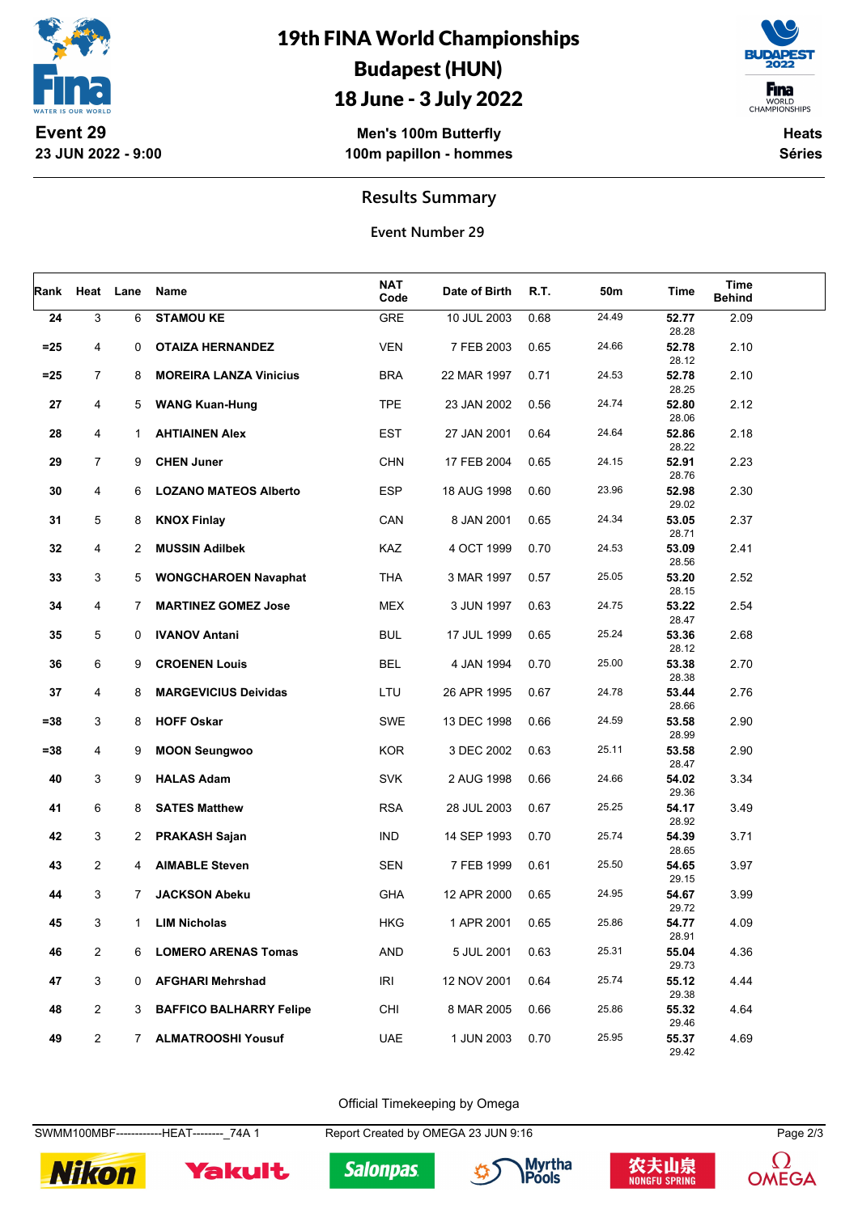

19th FINA World Championships Budapest (HUN)

# 18 June - 3 July 2022

**Men's 100m Butterfly 100m papillon - hommes**

**F**ina WORLD<br>CHAMPIONSHIPS

> **Heats Séries**

### **Results Summary**

**Event Number 29**

| Rank   |                | Heat Lane    | Name                           | NAT<br>Code | Date of Birth | R.T. | 50m   | Time           | Time<br><b>Behind</b> |  |
|--------|----------------|--------------|--------------------------------|-------------|---------------|------|-------|----------------|-----------------------|--|
| 24     | 3              | 6            | <b>STAMOU KE</b>               | GRE         | 10 JUL 2003   | 0.68 | 24.49 | 52.77<br>28.28 | 2.09                  |  |
| $=25$  | 4              | 0            | <b>OTAIZA HERNANDEZ</b>        | <b>VEN</b>  | 7 FEB 2003    | 0.65 | 24.66 | 52.78<br>28.12 | 2.10                  |  |
| $=25$  | $\overline{7}$ | 8            | <b>MOREIRA LANZA Vinicius</b>  | <b>BRA</b>  | 22 MAR 1997   | 0.71 | 24.53 | 52.78<br>28.25 | 2.10                  |  |
| 27     | 4              | 5            | <b>WANG Kuan-Hung</b>          | <b>TPE</b>  | 23 JAN 2002   | 0.56 | 24.74 | 52.80<br>28.06 | 2.12                  |  |
| 28     | 4              | 1            | <b>AHTIAINEN Alex</b>          | <b>EST</b>  | 27 JAN 2001   | 0.64 | 24.64 | 52.86<br>28.22 | 2.18                  |  |
| 29     | 7              | 9            | <b>CHEN Juner</b>              | <b>CHN</b>  | 17 FEB 2004   | 0.65 | 24.15 | 52.91<br>28.76 | 2.23                  |  |
| 30     | 4              | 6            | <b>LOZANO MATEOS Alberto</b>   | <b>ESP</b>  | 18 AUG 1998   | 0.60 | 23.96 | 52.98<br>29.02 | 2.30                  |  |
| 31     | 5              | 8            | <b>KNOX Finlay</b>             | CAN         | 8 JAN 2001    | 0.65 | 24.34 | 53.05<br>28.71 | 2.37                  |  |
| 32     | 4              | $\mathbf{2}$ | <b>MUSSIN Adilbek</b>          | KAZ         | 4 OCT 1999    | 0.70 | 24.53 | 53.09<br>28.56 | 2.41                  |  |
| 33     | 3              | 5            | <b>WONGCHAROEN Navaphat</b>    | THA         | 3 MAR 1997    | 0.57 | 25.05 | 53.20<br>28.15 | 2.52                  |  |
| 34     | 4              | $7^{\circ}$  | <b>MARTINEZ GOMEZ Jose</b>     | <b>MEX</b>  | 3 JUN 1997    | 0.63 | 24.75 | 53.22<br>28.47 | 2.54                  |  |
| 35     | 5              | 0            | <b>IVANOV Antani</b>           | <b>BUL</b>  | 17 JUL 1999   | 0.65 | 25.24 | 53.36<br>28.12 | 2.68                  |  |
| 36     | 6              | 9            | <b>CROENEN Louis</b>           | <b>BEL</b>  | 4 JAN 1994    | 0.70 | 25.00 | 53.38<br>28.38 | 2.70                  |  |
| 37     | 4              | 8            | <b>MARGEVICIUS Deividas</b>    | LTU         | 26 APR 1995   | 0.67 | 24.78 | 53.44<br>28.66 | 2.76                  |  |
| $= 38$ | 3              | 8            | <b>HOFF Oskar</b>              | SWE         | 13 DEC 1998   | 0.66 | 24.59 | 53.58<br>28.99 | 2.90                  |  |
| $= 38$ | 4              | 9            | <b>MOON Seungwoo</b>           | KOR         | 3 DEC 2002    | 0.63 | 25.11 | 53.58<br>28.47 | 2.90                  |  |
| 40     | 3              | 9            | <b>HALAS Adam</b>              | <b>SVK</b>  | 2 AUG 1998    | 0.66 | 24.66 | 54.02<br>29.36 | 3.34                  |  |
| 41     | 6              | 8            | <b>SATES Matthew</b>           | <b>RSA</b>  | 28 JUL 2003   | 0.67 | 25.25 | 54.17<br>28.92 | 3.49                  |  |
| 42     | 3              | $\mathbf{2}$ | <b>PRAKASH Sajan</b>           | <b>IND</b>  | 14 SEP 1993   | 0.70 | 25.74 | 54.39<br>28.65 | 3.71                  |  |
| 43     | 2              | 4            | <b>AIMABLE Steven</b>          | <b>SEN</b>  | 7 FEB 1999    | 0.61 | 25.50 | 54.65<br>29.15 | 3.97                  |  |
| 44     | 3              | 7            | <b>JACKSON Abeku</b>           | <b>GHA</b>  | 12 APR 2000   | 0.65 | 24.95 | 54.67<br>29.72 | 3.99                  |  |
| 45     | 3              | 1            | <b>LIM Nicholas</b>            | <b>HKG</b>  | 1 APR 2001    | 0.65 | 25.86 | 54.77<br>28.91 | 4.09                  |  |
| 46     | $\overline{2}$ | 6            | <b>LOMERO ARENAS Tomas</b>     | <b>AND</b>  | 5 JUL 2001    | 0.63 | 25.31 | 55.04<br>29.73 | 4.36                  |  |
| 47     | 3              | 0            | <b>AFGHARI Mehrshad</b>        | <b>IRI</b>  | 12 NOV 2001   | 0.64 | 25.74 | 55.12<br>29.38 | 4.44                  |  |
| 48     | $\overline{2}$ | 3            | <b>BAFFICO BALHARRY Felipe</b> | CHI         | 8 MAR 2005    | 0.66 | 25.86 | 55.32<br>29.46 | 4.64                  |  |
| 49     | $\overline{2}$ | 7            | <b>ALMATROOSHI Yousuf</b>      | <b>UAE</b>  | 1 JUN 2003    | 0.70 | 25.95 | 55.37<br>29.42 | 4.69                  |  |

Official Timekeeping by Omega

SWMM100MBF------------HEAT--------\_74A 1 Report Created by OMEGA 23 JUN 9:16 Page 2/3



Yakult